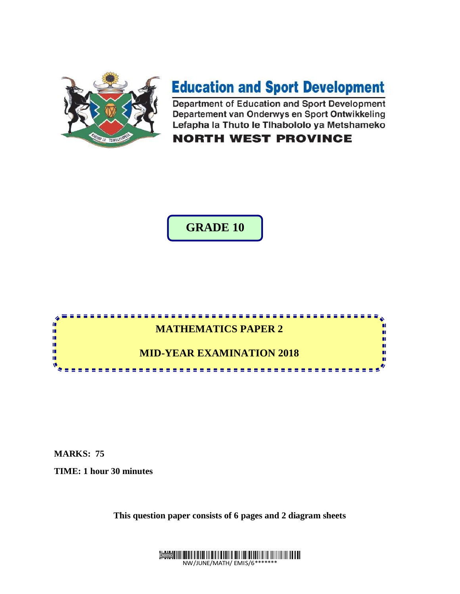

# **Education and Sport Development**

Department of Education and Sport Development Departement van Onderwys en Sport Ontwikkeling Lefapha la Thuto le Tlhabololo ya Metshameko

**NORTH WEST PROVINCE** 

**GRADE 10**



**MARKS: 75**

**TIME: 1 hour 30 minutes**

**This question paper consists of 6 pages and 2 diagram sheets**

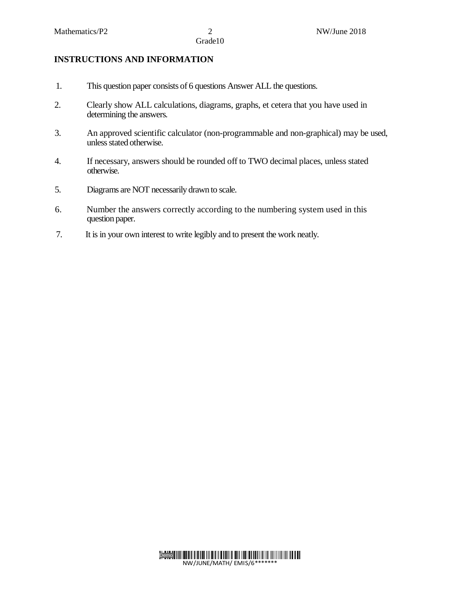## **INSTRUCTIONS AND INFORMATION**

- 1. This question paper consists of 6 questions Answer ALL the questions.
- 2. Clearly show ALL calculations, diagrams, graphs, et cetera that you have used in determining the answers.
- 3. An approved scientific calculator (non-programmable and non-graphical) may be used, unless stated otherwise.
- 4. If necessary, answers should be rounded off to TWO decimal places, unless stated otherwise.
- 5. Diagrams are NOT necessarily drawn to scale.
- 6. Number the answers correctly according to the numbering system used in this question paper.
- 7. It is in your own interest to write legibly and to present the work neatly.

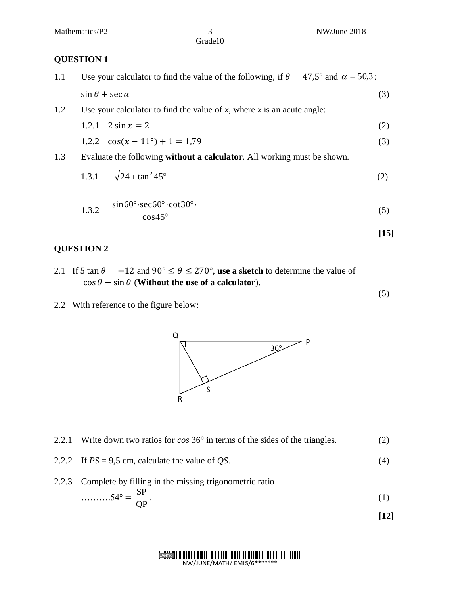#### **QUESTION 1**

- 1.1 Use your calculator to find the value of the following, if  $\theta = 47.5^{\circ}$  and  $\alpha = 50.3$ :  $\sin \theta + \sec \alpha$  (3)
- 1.2 Use your calculator to find the value of *x*, where *x* is an acute angle:

$$
1.2.1 \quad 2\sin x = 2 \tag{2}
$$

$$
1.2.2 \quad \cos(x - 11^{\circ}) + 1 = 1.79 \tag{3}
$$

1.3 Evaluate the following **without a calculator**. All working must be shown.

1.3.1 
$$
\sqrt{24 + \tan^2 45^\circ}
$$
 (2)

$$
1.3.2 \quad \frac{\sin 60^\circ \cdot \sec 60^\circ \cdot \cot 30^\circ \cdot}{\cos 45^\circ} \tag{5}
$$

$$
[15]
$$

(5)

#### **QUESTION 2**

- 2.1 If 5 tan  $\theta = -12$  and 90°  $\leq \theta \leq 270$ °, use a sketch to determine the value of  $\cos \theta - \sin \theta$  (**Without the use of a calculator**).
- 2.2With reference to the figure below:



- 2.2.1 Write down two ratios for  $\cos 36^\circ$  in terms of the sides of the triangles. (2)
- 2.2.2 If  $PS = 9.5$  cm, calculate the value of *QS*. (4)
- 2.2.3 Complete by filling in the missing trigonometric ratio  $\ldots \ldots \ldots 54^{\circ}$ SP .  $(1)$

$$
\dots \dots 54^\circ = \frac{1}{QP}.\tag{1}
$$

$$
[12]
$$

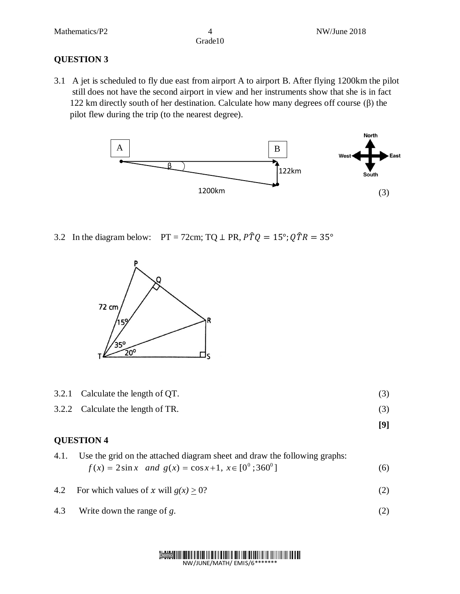**[9]**

## **QUESTION 3**

3.1 A jet is scheduled to fly due east from airport A to airport B. After flying 1200km the pilot still does not have the second airport in view and her instruments show that she is in fact 122 km directly south of her destination. Calculate how many degrees off course (β) the pilot flew during the trip (to the nearest degree).



3.2 In the diagram below: PT = 72cm; TQ  $\perp$  PR,  $\angle PTQ = 15^\circ$ ;  $\angle Q\angle TR = 35^\circ$ 



- 3.2.1 Calculate the length of QT. (3)
- 3.2.2 Calculate the length of TR. (3)

#### **QUESTION 4**

- 4.1. Use the grid on the attached diagram sheet and draw the following graphs:  $f(x) = 2\sin x$  and  $g(x) = \cos x + 1$ ,  $x \in [0^0; 360^0]$ (6)
- 4.2 For which values of x will  $g(x) \ge 0$ ? (2)
- 4.3 Write down the range of *g*. (2)

Demo NW/JUNE/MATH/ EMIS/6\*\*\*\*\*\*\*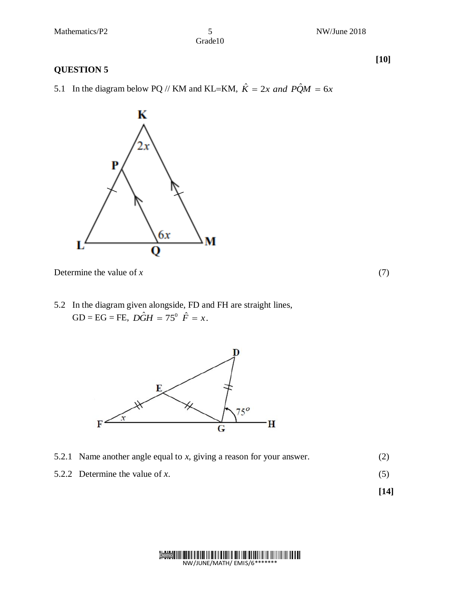#### **QUESTION 5**

5.1 In the diagram below PQ // KM and KL=KM,  $\hat{K} = 2x$  and  $\hat{PQM} = 6x$ 



K

Determine the value of *x* (7)

5.2 In the diagram given alongside, FD and FH are straight lines,  $GD = EG = FE$ ,  $D\hat{G}H = 75^{\circ} \hat{F} = x$ .



- 5.2.1 Name another angle equal to *x*, giving a reason for your answer. (2)
- 5.2.2 Determine the value of *x*. (5)

**[14]**

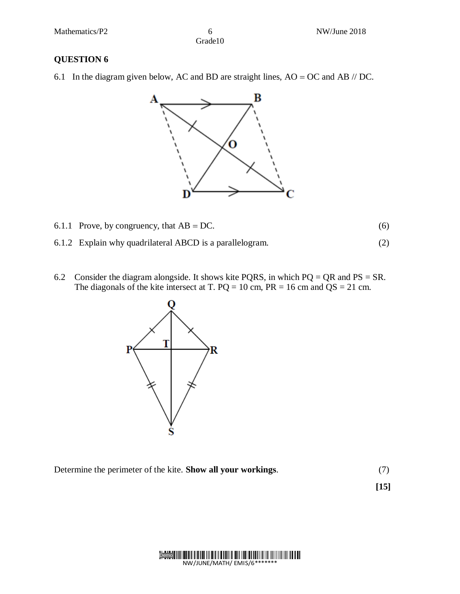## **QUESTION 6**

6.1 In the diagram given below, AC and BD are straight lines,  $AO = OC$  and  $AB$  // DC.



- 6.1.1 Prove, by congruency, that  $AB = DC$ . (6)
- 6.1.2 Explain why quadrilateral ABCD is a parallelogram. (2)
- 6.2 Consider the diagram alongside. It shows kite PQRS, in which  $PQ = QR$  and  $PS = SR$ . The diagonals of the kite intersect at T.  $PQ = 10$  cm,  $PR = 16$  cm and  $QS = 21$  cm.



Determine the perimeter of the kite. **Show all your workings**. (7)

 **[15]**

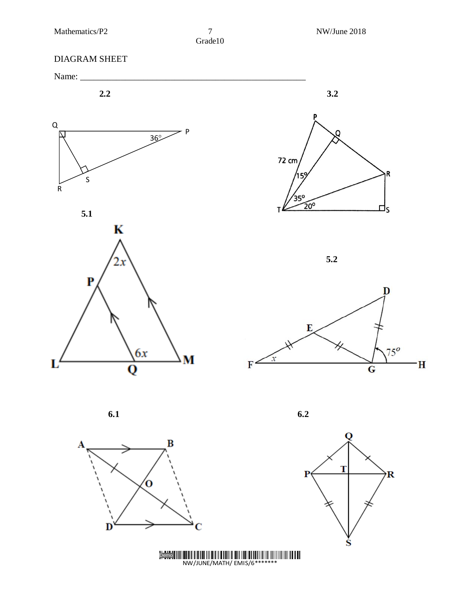R

⊔ς

D

 $75^\circ$ 

 $\mathbf H$ 

# DIAGRAM SHEET



B O  $\mathbf{D}$ 

**6.1 6.2**